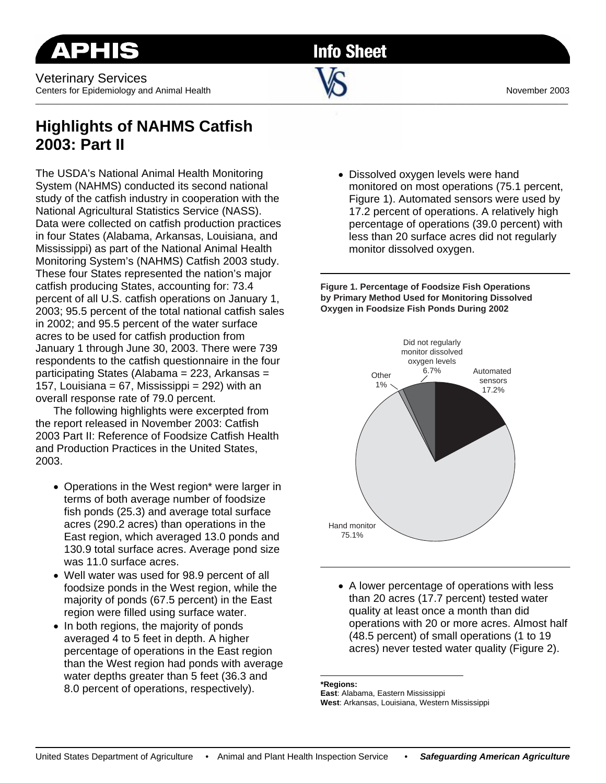Veterinary Services Centers for Epidemiology and Animal Health November 2003

**Info Sheet** 

 $\sim$  . The contribution of the contribution of the contribution of the contribution of the contribution of the contribution of the contribution of the contribution of the contribution of the contribution of the contributi

## **Highlights of NAHMS Catfish 2003: Part II**

The USDA's National Animal Health Monitoring System (NAHMS) conducted its second national study of the catfish industry in cooperation with the National Agricultural Statistics Service (NASS). Data were collected on catfish production practices in four States (Alabama, Arkansas, Louisiana, and Mississippi) as part of the National Animal Health Monitoring System's (NAHMS) Catfish 2003 study. These four States represented the nation's major catfish producing States, accounting for: 73.4 percent of all U.S. catfish operations on January 1, 2003; 95.5 percent of the total national catfish sales in 2002; and 95.5 percent of the water surface acres to be used for catfish production from January 1 through June 30, 2003. There were 739 respondents to the catfish questionnaire in the four participating States (Alabama = 223, Arkansas = 157, Louisiana = 67, Mississippi =  $292$ ) with an overall response rate of 79.0 percent.

 The following highlights were excerpted from the report released in November 2003: Catfish 2003 Part II: Reference of Foodsize Catfish Health and Production Practices in the United States, 2003.

- Operations in the West region\* were larger in terms of both average number of foodsize fish ponds (25.3) and average total surface acres (290.2 acres) than operations in the East region, which averaged 13.0 ponds and 130.9 total surface acres. Average pond size was 11.0 surface acres.
- Well water was used for 98.9 percent of all foodsize ponds in the West region, while the majority of ponds (67.5 percent) in the East region were filled using surface water.
- In both regions, the majority of ponds averaged 4 to 5 feet in depth. A higher percentage of operations in the East region than the West region had ponds with average water depths greater than 5 feet (36.3 and 8.0 percent of operations, respectively).

• Dissolved oxygen levels were hand monitored on most operations (75.1 percent, Figure 1). Automated sensors were used by 17.2 percent of operations. A relatively high percentage of operations (39.0 percent) with less than 20 surface acres did not regularly monitor dissolved oxygen.

**Figure 1. Percentage of Foodsize Fish Operations by Primary Method Used for Monitoring Dissolved Oxygen in Foodsize Fish Ponds During 2002**



• A lower percentage of operations with less than 20 acres (17.7 percent) tested water quality at least once a month than did operations with 20 or more acres. Almost half (48.5 percent) of small operations (1 to 19 acres) never tested water quality (Figure 2).

**\*Regions:** 

**East**: Alabama, Eastern Mississippi **West**: Arkansas, Louisiana, Western Mississippi